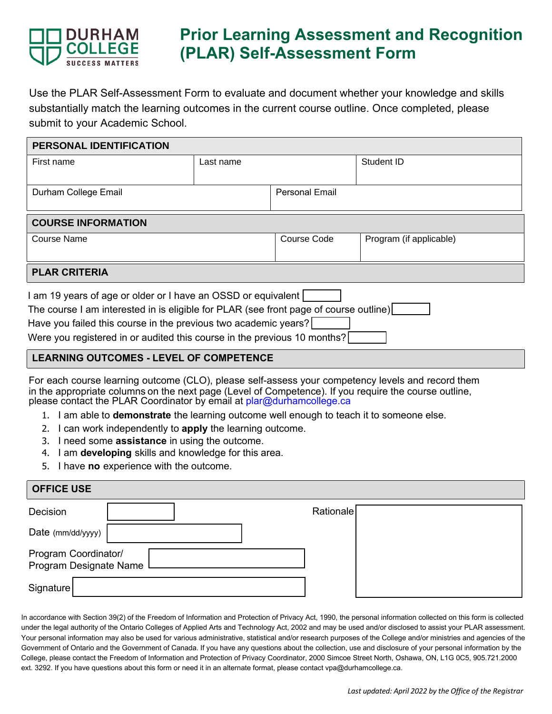

### **Prior Learning Assessment and Recognition (PLAR) Self-Assessment Form**

Use the PLAR Self-Assessment Form to evaluate and document whether your knowledge and skills substantially match the learning outcomes in the current course outline. Once completed, please submit to your Academic School.

| <b>PERSONAL IDENTIFICATION</b>                                                        |           |                       |                         |  |  |  |
|---------------------------------------------------------------------------------------|-----------|-----------------------|-------------------------|--|--|--|
| First name                                                                            | Last name |                       | Student ID              |  |  |  |
|                                                                                       |           |                       |                         |  |  |  |
| Durham College Email                                                                  |           | <b>Personal Email</b> |                         |  |  |  |
|                                                                                       |           |                       |                         |  |  |  |
| <b>COURSE INFORMATION</b>                                                             |           |                       |                         |  |  |  |
| <b>Course Name</b>                                                                    |           | Course Code           | Program (if applicable) |  |  |  |
|                                                                                       |           |                       |                         |  |  |  |
| <b>PLAR CRITERIA</b>                                                                  |           |                       |                         |  |  |  |
| I am 19 years of age or older or I have an OSSD or equivalent                         |           |                       |                         |  |  |  |
| The course I am interested in is eligible for PLAR (see front page of course outline) |           |                       |                         |  |  |  |

Have you failed this course in the previous two academic years?

Were you registered in or audited this course in the previous 10 months?

### **LEARNING OUTCOMES - LEVEL OF COMPETENCE**

For each course learning outcome (CLO), please self-assess your competency levels and record them in the appropriate columns on the next page (Level of Competence). If you require the course outline, please contact the PLAR Coordinator by email at<plar@durhamcollege.ca>

- 1. I am able to **demonstrate** the learning outcome well enough to teach it to someone else.
- 2. I can work independently to **apply** the learning outcome.
- 3. I need some **assistance** in using the outcome.
- 4. I am **developing** skills and knowledge for this area.
- 5. I have **no** experience with the outcome.

#### **OFFICE USE**

| Decision                                       |  | Rationale |
|------------------------------------------------|--|-----------|
| Date (mm/dd/yyyy)                              |  |           |
| Program Coordinator/<br>Program Designate Name |  |           |
| Signature                                      |  |           |

In accordance with Section 39(2) of the Freedom of Information and Protection of Privacy Act, 1990, the personal information collected on this form is collected under the legal authority of the Ontario Colleges of Applied Arts and Technology Act, 2002 and may be used and/or disclosed to assist your PLAR assessment. Your personal information may also be used for various administrative, statistical and/or research purposes of the College and/or ministries and agencies of the Government of Ontario and the Government of Canada. If you have any questions about the collection, use and disclosure of your personal information by the College, please contact the Freedom of Information and Protection of Privacy Coordinator, 2000 Simcoe Street North, Oshawa, ON, L1G 0C5, 905.721.2000 ext. 3292. If you have questions about this form or need it in an alternate format, please contact vpa@durhamcollege.ca.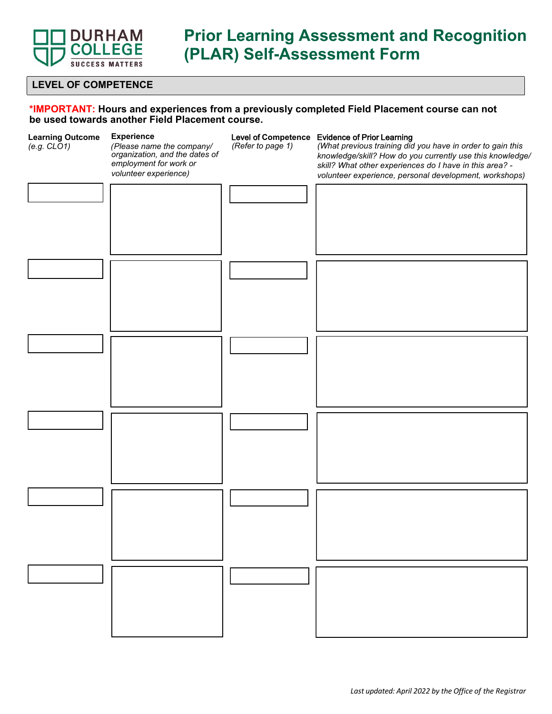

# **Prior Learning Assessment and Recognition (PLAR) Self-Assessment Form**

#### **LEVEL OF COMPETENCE**

#### **\*IMPORTANT: Hours and experiences from a previously completed Field Placement course can not be used towards another Field Placement course.**

| <b>Learning Outcome</b><br>(e.g. CLO1) | <b>Experience</b><br>(Please name the company/<br>organization, and the dates of<br>employment for work or<br>volunteer experience) | (Refer to page 1) | Level of Competence Evidence of Prior Learning<br>(What previous training did you have in order to gain this<br>knowledge/skill? How do you currently use this knowledge/<br>skill? What other experiences do I have in this area? -<br>volunteer experience, personal development, workshops) |
|----------------------------------------|-------------------------------------------------------------------------------------------------------------------------------------|-------------------|------------------------------------------------------------------------------------------------------------------------------------------------------------------------------------------------------------------------------------------------------------------------------------------------|
|                                        |                                                                                                                                     |                   |                                                                                                                                                                                                                                                                                                |
|                                        |                                                                                                                                     |                   |                                                                                                                                                                                                                                                                                                |
|                                        |                                                                                                                                     |                   |                                                                                                                                                                                                                                                                                                |
|                                        |                                                                                                                                     |                   |                                                                                                                                                                                                                                                                                                |
|                                        |                                                                                                                                     |                   |                                                                                                                                                                                                                                                                                                |
|                                        |                                                                                                                                     |                   |                                                                                                                                                                                                                                                                                                |
|                                        |                                                                                                                                     |                   |                                                                                                                                                                                                                                                                                                |